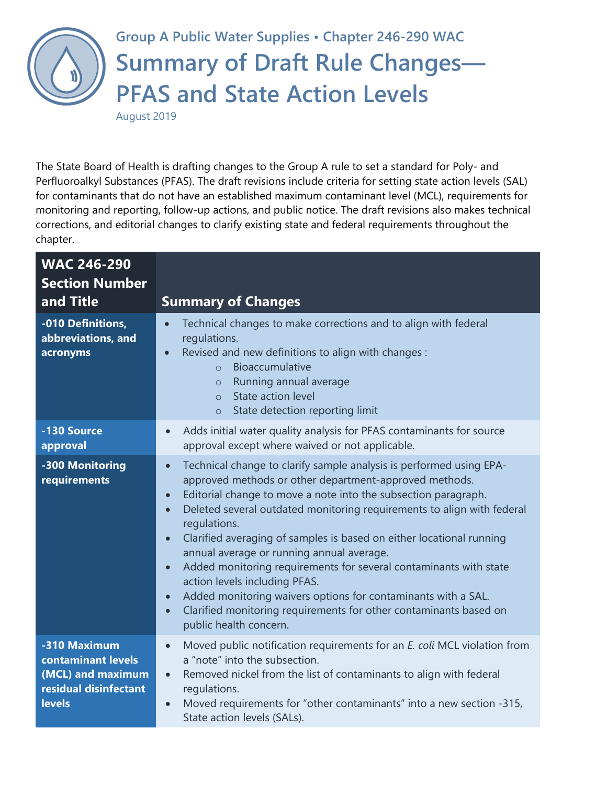

## **Group A Public Water Supplies • Chapter 246-290 WAC Summary of Draft Rule Changes— PFAS and State Action Levels**

August 2019

The State Board of Health is drafting changes to the Group A rule to set a standard for Poly- and Perfluoroalkyl Substances (PFAS). The draft revisions include criteria for setting state action levels (SAL) for contaminants that do not have an established maximum contaminant level (MCL), requirements for monitoring and reporting, follow-up actions, and public notice. The draft revisions also makes technical corrections, and editorial changes to clarify existing state and federal requirements throughout the chapter.

| <b>WAC 246-290</b><br><b>Section Number</b><br>and Title                                          | <b>Summary of Changes</b>                                                                                                                                                                                                                                                                                                                                                                                                                                                                                                                                                                                                                                                                                                                                                       |
|---------------------------------------------------------------------------------------------------|---------------------------------------------------------------------------------------------------------------------------------------------------------------------------------------------------------------------------------------------------------------------------------------------------------------------------------------------------------------------------------------------------------------------------------------------------------------------------------------------------------------------------------------------------------------------------------------------------------------------------------------------------------------------------------------------------------------------------------------------------------------------------------|
| -010 Definitions,<br>abbreviations, and<br>acronyms                                               | Technical changes to make corrections and to align with federal<br>$\bullet$<br>regulations.<br>Revised and new definitions to align with changes :<br>$\bullet$<br>Bioaccumulative<br>$\Omega$<br>Running annual average<br>$\circ$<br>State action level<br>$\circ$<br>State detection reporting limit<br>$\circ$                                                                                                                                                                                                                                                                                                                                                                                                                                                             |
| -130 Source<br>approval                                                                           | Adds initial water quality analysis for PFAS contaminants for source<br>$\bullet$<br>approval except where waived or not applicable.                                                                                                                                                                                                                                                                                                                                                                                                                                                                                                                                                                                                                                            |
| -300 Monitoring<br>requirements                                                                   | Technical change to clarify sample analysis is performed using EPA-<br>$\bullet$<br>approved methods or other department-approved methods.<br>Editorial change to move a note into the subsection paragraph.<br>$\bullet$<br>Deleted several outdated monitoring requirements to align with federal<br>$\bullet$<br>regulations.<br>Clarified averaging of samples is based on either locational running<br>$\bullet$<br>annual average or running annual average.<br>Added monitoring requirements for several contaminants with state<br>$\bullet$<br>action levels including PFAS.<br>Added monitoring waivers options for contaminants with a SAL.<br>$\bullet$<br>Clarified monitoring requirements for other contaminants based on<br>$\bullet$<br>public health concern. |
| -310 Maximum<br>contaminant levels<br>(MCL) and maximum<br>residual disinfectant<br><b>levels</b> | Moved public notification requirements for an E. coli MCL violation from<br>$\bullet$<br>a "note" into the subsection.<br>Removed nickel from the list of contaminants to align with federal<br>$\bullet$<br>regulations.<br>Moved requirements for "other contaminants" into a new section -315,<br>$\bullet$<br>State action levels (SALs).                                                                                                                                                                                                                                                                                                                                                                                                                                   |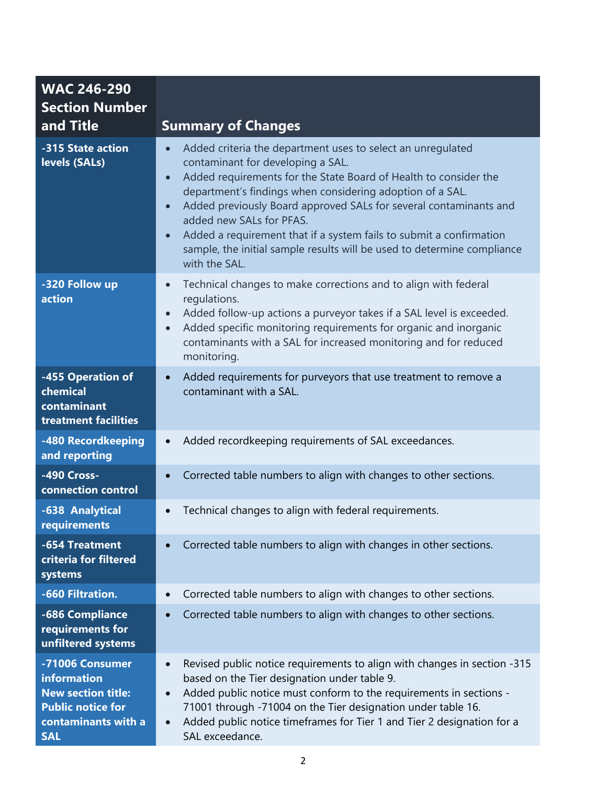| <b>WAC 246-290</b><br><b>Section Number</b><br>and Title                                                                     | <b>Summary of Changes</b>                                                                                                                                                                                                                                                                                                                                                                                                                                                                                                                                 |
|------------------------------------------------------------------------------------------------------------------------------|-----------------------------------------------------------------------------------------------------------------------------------------------------------------------------------------------------------------------------------------------------------------------------------------------------------------------------------------------------------------------------------------------------------------------------------------------------------------------------------------------------------------------------------------------------------|
| -315 State action<br>levels (SALs)                                                                                           | Added criteria the department uses to select an unregulated<br>$\bullet$<br>contaminant for developing a SAL.<br>Added requirements for the State Board of Health to consider the<br>$\bullet$<br>department's findings when considering adoption of a SAL.<br>Added previously Board approved SALs for several contaminants and<br>$\bullet$<br>added new SALs for PFAS.<br>Added a requirement that if a system fails to submit a confirmation<br>$\bullet$<br>sample, the initial sample results will be used to determine compliance<br>with the SAL. |
| -320 Follow up<br>action                                                                                                     | Technical changes to make corrections and to align with federal<br>$\bullet$<br>regulations.<br>Added follow-up actions a purveyor takes if a SAL level is exceeded.<br>$\bullet$<br>Added specific monitoring requirements for organic and inorganic<br>$\bullet$<br>contaminants with a SAL for increased monitoring and for reduced<br>monitoring.                                                                                                                                                                                                     |
| -455 Operation of<br>chemical<br>contaminant<br>treatment facilities                                                         | Added requirements for purveyors that use treatment to remove a<br>$\bullet$<br>contaminant with a SAL.                                                                                                                                                                                                                                                                                                                                                                                                                                                   |
| -480 Recordkeeping<br>and reporting                                                                                          | Added recordkeeping requirements of SAL exceedances.<br>$\bullet$                                                                                                                                                                                                                                                                                                                                                                                                                                                                                         |
| -490 Cross-<br>connection control                                                                                            | Corrected table numbers to align with changes to other sections.<br>$\bullet$                                                                                                                                                                                                                                                                                                                                                                                                                                                                             |
| -638 Analytical<br>requirements                                                                                              | Technical changes to align with federal requirements.<br>$\bullet$                                                                                                                                                                                                                                                                                                                                                                                                                                                                                        |
| -654 Treatment<br>criteria for filtered<br>systems                                                                           | Corrected table numbers to align with changes in other sections.<br>$\bullet$                                                                                                                                                                                                                                                                                                                                                                                                                                                                             |
| -660 Filtration.                                                                                                             | Corrected table numbers to align with changes to other sections.<br>$\bullet$                                                                                                                                                                                                                                                                                                                                                                                                                                                                             |
| -686 Compliance<br>requirements for<br>unfiltered systems                                                                    | Corrected table numbers to align with changes to other sections.<br>$\bullet$                                                                                                                                                                                                                                                                                                                                                                                                                                                                             |
| -71006 Consumer<br>information<br><b>New section title:</b><br><b>Public notice for</b><br>contaminants with a<br><b>SAL</b> | Revised public notice requirements to align with changes in section -315<br>$\bullet$<br>based on the Tier designation under table 9.<br>Added public notice must conform to the requirements in sections -<br>$\bullet$<br>71001 through -71004 on the Tier designation under table 16.<br>Added public notice timeframes for Tier 1 and Tier 2 designation for a<br>$\bullet$<br>SAL exceedance.                                                                                                                                                        |